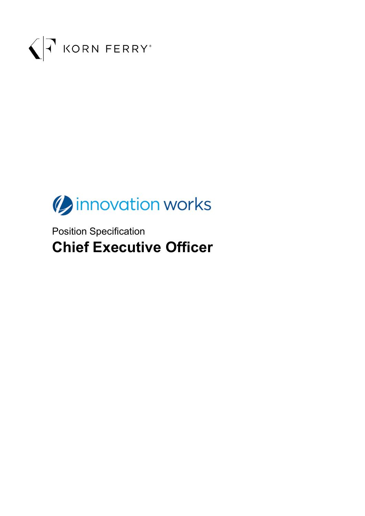



Position Specification **Chief Executive Officer**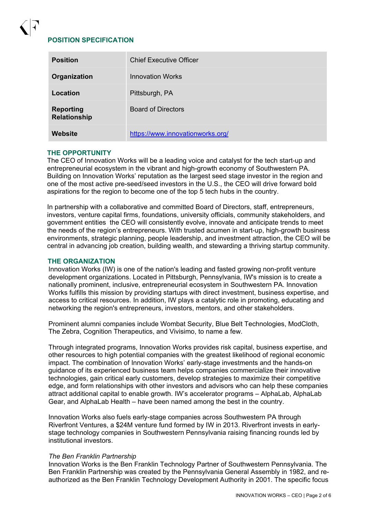# **POSITION SPECIFICATION**

| <b>Position</b>                  | <b>Chief Executive Officer</b>   |
|----------------------------------|----------------------------------|
| Organization                     | <b>Innovation Works</b>          |
| Location                         | Pittsburgh, PA                   |
| <b>Reporting</b><br>Relationship | <b>Board of Directors</b>        |
| Website                          | https://www.innovationworks.org/ |

## **THE OPPORTUNITY**

The CEO of Innovation Works will be a leading voice and catalyst for the tech start-up and entrepreneurial ecosystem in the vibrant and high-growth economy of Southwestern PA. Building on Innovation Works' reputation as the largest seed stage investor in the region and one of the most active pre-seed/seed investors in the U.S., the CEO will drive forward bold aspirations for the region to become one of the top 5 tech hubs in the country.

In partnership with a collaborative and committed Board of Directors, staff, entrepreneurs, investors, venture capital firms, foundations, university officials, community stakeholders, and government entities the CEO will consistently evolve, innovate and anticipate trends to meet the needs of the region's entrepreneurs. With trusted acumen in start-up, high-growth business environments, strategic planning, people leadership, and investment attraction, the CEO will be central in advancing job creation, building wealth, and stewarding a thriving startup community.

#### **THE ORGANIZATION**

Innovation Works (IW) is one of the nation's leading and fasted growing non-profit venture development organizations. Located in Pittsburgh, Pennsylvania, IW's mission is to create a nationally prominent, inclusive, entrepreneurial ecosystem in Southwestern PA. Innovation Works fulfills this mission by providing startups with direct investment, business expertise, and access to critical resources. In addition, IW plays a catalytic role in promoting, educating and networking the region's entrepreneurs, investors, mentors, and other stakeholders.

Prominent alumni companies include Wombat Security, Blue Belt Technologies, ModCloth, The Zebra, Cognition Therapeutics, and Vivisimo, to name a few.

Through integrated programs, Innovation Works provides risk capital, business expertise, and other resources to high potential companies with the greatest likelihood of regional economic impact. The combination of Innovation Works' early-stage investments and the hands-on guidance of its experienced business team helps companies commercialize their innovative technologies, gain critical early customers, develop strategies to maximize their competitive edge, and form relationships with other investors and advisors who can help these companies attract additional capital to enable growth. IW's accelerator programs – AlphaLab, AlphaLab Gear, and AlphaLab Health – have been named among the best in the country.

Innovation Works also fuels early-stage companies across Southwestern PA through Riverfront Ventures, a \$24M venture fund formed by IW in 2013. Riverfront invests in earlystage technology companies in Southwestern Pennsylvania raising financing rounds led by institutional investors.

#### *The Ben Franklin Partnership*

Innovation Works is the Ben Franklin Technology Partner of Southwestern Pennsylvania. The Ben Franklin Partnership was created by the Pennsylvania General Assembly in 1982, and reauthorized as the Ben Franklin Technology Development Authority in 2001. The specific focus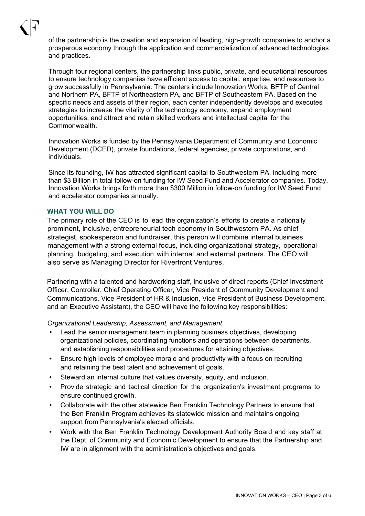

of the partnership is the creation and expansion of leading, high-growth companies to anchor a prosperous economy through the application and commercialization of advanced technologies and practices.

Through four regional centers, the partnership links public, private, and educational resources to ensure technology companies have efficient access to capital, expertise, and resources to grow successfully in Pennsylvania. The centers include Innovation Works, BFTP of Central and Northern PA, BFTP of Northeastern PA, and BFTP of Southeastern PA. Based on the specific needs and assets of their region, each center independently develops and executes strategies to increase the vitality of the technology economy, expand employment opportunities, and attract and retain skilled workers and intellectual capital for the Commonwealth.

Innovation Works is funded by the Pennsylvania Department of Community and Economic Development (DCED), private foundations, federal agencies, private corporations, and individuals.

Since its founding, IW has attracted significant capital to Southwestern PA, including more than \$3 Billion in total follow-on funding for IW Seed Fund and Accelerator companies. Today, Innovation Works brings forth more than \$300 Million in follow-on funding for IW Seed Fund and accelerator companies annually.

#### **WHAT YOU WILL DO**

The primary role of the CEO is to lead the organization's efforts to create a nationally prominent, inclusive, entrepreneurial tech economy in Southwestern PA. As chief strategist, spokesperson and fundraiser, this person will combine internal business management with a strong external focus, including organizational strategy, operational planning, budgeting, and execution with internal and external partners. The CEO will also serve as Managing Director for Riverfront Ventures.

Partnering with a talented and hardworking staff, inclusive of direct reports (Chief Investment Officer, Controller, Chief Operating Officer, Vice President of Community Development and Communications, Vice President of HR & Inclusion, Vice President of Business Development, and an Executive Assistant), the CEO will have the following key responsibilities:

*Organizational Leadership, Assessment, and Management*

- Lead the senior management team in planning business objectives, developing organizational policies, coordinating functions and operations between departments, and establishing responsibilities and procedures for attaining objectives.
- Ensure high levels of employee morale and productivity with a focus on recruiting and retaining the best talent and achievement of goals.
- Steward an internal culture that values diversity, equity, and inclusion.
- Provide strategic and tactical direction for the organization's investment programs to ensure continued growth.
- Collaborate with the other statewide Ben Franklin Technology Partners to ensure that the Ben Franklin Program achieves its statewide mission and maintains ongoing support from Pennsylvania's elected officials.
- Work with the Ben Franklin Technology Development Authority Board and key staff at the Dept. of Community and Economic Development to ensure that the Partnership and IW are in alignment with the administration's objectives and goals.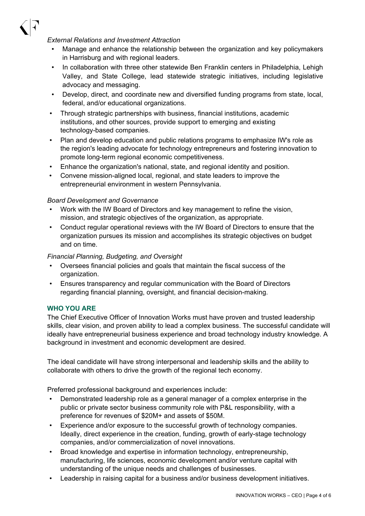

## *External Relations and Investment Attraction*

- Manage and enhance the relationship between the organization and key policymakers in Harrisburg and with regional leaders.
- In collaboration with three other statewide Ben Franklin centers in Philadelphia, Lehigh Valley, and State College, lead statewide strategic initiatives, including legislative advocacy and messaging.
- Develop, direct, and coordinate new and diversified funding programs from state, local, federal, and/or educational organizations.
- Through strategic partnerships with business, financial institutions, academic institutions, and other sources, provide support to emerging and existing technology-based companies.
- Plan and develop education and public relations programs to emphasize IW's role as the region's leading advocate for technology entrepreneurs and fostering innovation to promote long-term regional economic competitiveness.
- Enhance the organization's national, state, and regional identity and position.
- Convene mission-aligned local, regional, and state leaders to improve the entrepreneurial environment in western Pennsylvania.

# *Board Development and Governance*

- Work with the IW Board of Directors and key management to refine the vision, mission, and strategic objectives of the organization, as appropriate.
- Conduct regular operational reviews with the IW Board of Directors to ensure that the organization pursues its mission and accomplishes its strategic objectives on budget and on time.

# *Financial Planning, Budgeting, and Oversight*

- Oversees financial policies and goals that maintain the fiscal success of the organization.
- Ensures transparency and regular communication with the Board of Directors regarding financial planning, oversight, and financial decision-making.

# **WHO YOU ARE**

The Chief Executive Officer of Innovation Works must have proven and trusted leadership skills, clear vision, and proven ability to lead a complex business. The successful candidate will ideally have entrepreneurial business experience and broad technology industry knowledge. A background in investment and economic development are desired.

The ideal candidate will have strong interpersonal and leadership skills and the ability to collaborate with others to drive the growth of the regional tech economy.

Preferred professional background and experiences include:

- Demonstrated leadership role as a general manager of a complex enterprise in the public or private sector business community role with P&L responsibility, with a preference for revenues of \$20M+ and assets of \$50M.
- Experience and/or exposure to the successful growth of technology companies. Ideally, direct experience in the creation, funding, growth of early-stage technology companies, and/or commercialization of novel innovations.
- Broad knowledge and expertise in information technology, entrepreneurship, manufacturing, life sciences, economic development and/or venture capital with understanding of the unique needs and challenges of businesses.
- Leadership in raising capital for a business and/or business development initiatives.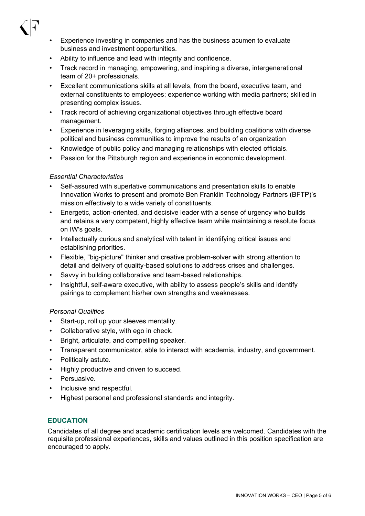- 
- Experience investing in companies and has the business acumen to evaluate business and investment opportunities.
- Ability to influence and lead with integrity and confidence.
- Track record in managing, empowering, and inspiring a diverse, intergenerational team of 20+ professionals.
- Excellent communications skills at all levels, from the board, executive team, and external constituents to employees; experience working with media partners; skilled in presenting complex issues.
- Track record of achieving organizational objectives through effective board management.
- Experience in leveraging skills, forging alliances, and building coalitions with diverse political and business communities to improve the results of an organization
- Knowledge of public policy and managing relationships with elected officials.
- Passion for the Pittsburgh region and experience in economic development.

## *Essential Characteristics*

- Self-assured with superlative communications and presentation skills to enable Innovation Works to present and promote Ben Franklin Technology Partners (BFTP)'s mission effectively to a wide variety of constituents.
- Energetic, action-oriented, and decisive leader with a sense of urgency who builds and retains a very competent, highly effective team while maintaining a resolute focus on IW's goals.
- Intellectually curious and analytical with talent in identifying critical issues and establishing priorities.
- Flexible, "big-picture" thinker and creative problem-solver with strong attention to detail and delivery of quality-based solutions to address crises and challenges.
- Savvy in building collaborative and team-based relationships.
- Insightful, self-aware executive, with ability to assess people's skills and identify pairings to complement his/her own strengths and weaknesses.

## *Personal Qualities*

- Start-up, roll up your sleeves mentality.
- Collaborative style, with ego in check.
- Bright, articulate, and compelling speaker.
- Transparent communicator, able to interact with academia, industry, and government.
- Politically astute.
- Highly productive and driven to succeed.
- Persuasive.
- Inclusive and respectful.
- Highest personal and professional standards and integrity.

## **EDUCATION**

Candidates of all degree and academic certification levels are welcomed. Candidates with the requisite professional experiences, skills and values outlined in this position specification are encouraged to apply.